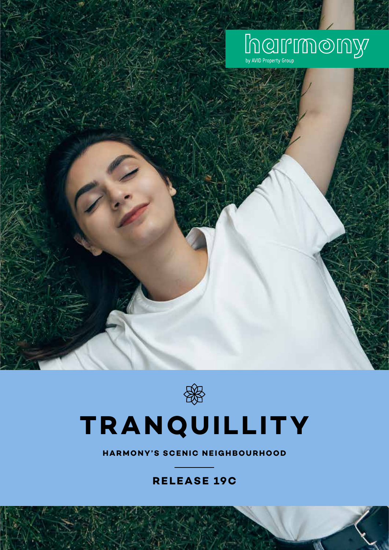# half monday



## **TRANQUILLITY**

**HARMONY'S SCENIC NEIGHBOURHOOD**

### **RELEASE 19C**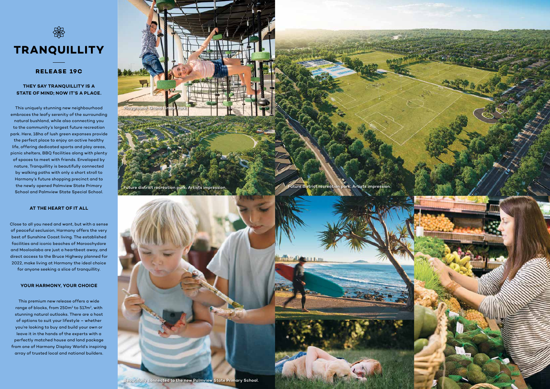

#### **THEY SAY TRANQUILLITY IS A STATE OF MIND; NOW IT'S A PLACE.**

This uniquely stunning new neighbourhood embraces the leafy serenity of the surrounding natural bushland, while also connecting you to the community's largest future recreation park. Here, 18ha of lush green expanses provide the perfect place to enjoy an active healthy life, offering dedicated sports and play areas, picnic shelters, BBQ facilities along with plenty of spaces to meet with friends. Enveloped by nature, Tranquillity is beautifully connected by walking paths with only a short stroll to Harmony's future shopping precinct and to the newly opened Palmview State Primary School and Palmview State Special School.

#### **AT THE HEART OF IT ALL**

Close to all you need and want, but with a sense of peaceful seclusion, Harmony offers the very best of Sunshine Coast living. The established facilities and iconic beaches of Maroochydore and Mooloolaba are just a heartbeat away, and direct access to the Bruce Highway planned for 2022, make living at Harmony the ideal choice

for anyone seeking a slice of tranquillity.

#### **YOUR HARMONY, YOUR CHOICE**

This premium new release offers a wide range of blocks, from 250m $^{\rm 2}$  to 517m $^{\rm 2}$ , with stunning natural outlooks. There are a host of options to suit your lifestyle – whether you're looking to buy and build your own or leave it in the hands of the experts with a perfectly matched house and land package from one of Harmony Display World's inspiring array of trusted local and national builders.



#### **RELEASE 19C**

Future district recreation park. Artists impression.



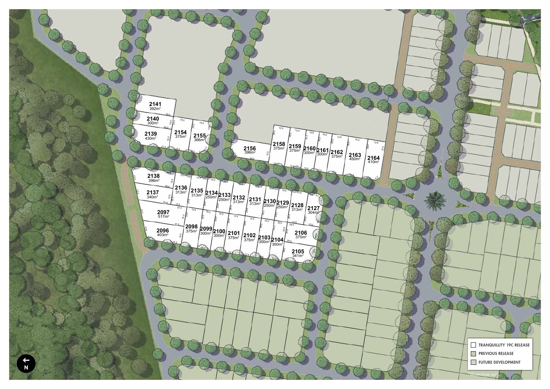